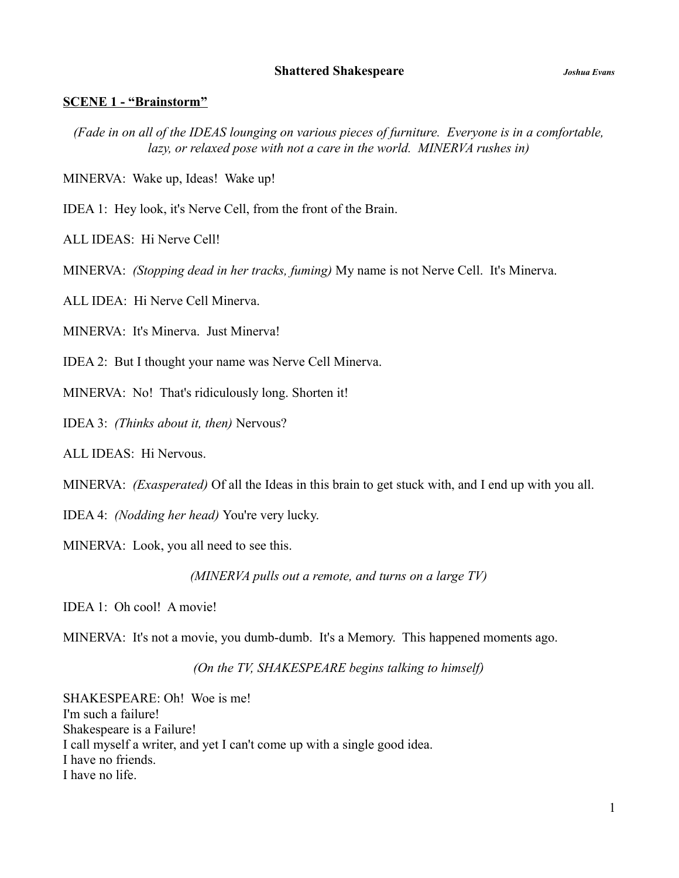#### **SCENE 1 - "Brainstorm"**

*(Fade in on all of the IDEAS lounging on various pieces of furniture. Everyone is in a comfortable, lazy, or relaxed pose with not a care in the world. MINERVA rushes in)*

MINERVA: Wake up, Ideas! Wake up!

IDEA 1: Hey look, it's Nerve Cell, from the front of the Brain.

ALL IDEAS: Hi Nerve Cell!

MINERVA: *(Stopping dead in her tracks, fuming)* My name is not Nerve Cell. It's Minerva.

ALL IDEA: Hi Nerve Cell Minerva.

MINERVA: It's Minerva. Just Minerva!

IDEA 2: But I thought your name was Nerve Cell Minerva.

MINERVA: No! That's ridiculously long. Shorten it!

IDEA 3: *(Thinks about it, then)* Nervous?

ALL IDEAS: Hi Nervous.

MINERVA: *(Exasperated)* Of all the Ideas in this brain to get stuck with, and I end up with you all.

IDEA 4: *(Nodding her head)* You're very lucky.

MINERVA: Look, you all need to see this.

*(MINERVA pulls out a remote, and turns on a large TV)*

IDEA 1: Oh cool! A movie!

MINERVA: It's not a movie, you dumb-dumb. It's a Memory. This happened moments ago.

*(On the TV, SHAKESPEARE begins talking to himself)*

SHAKESPEARE: Oh! Woe is me! I'm such a failure! Shakespeare is a Failure! I call myself a writer, and yet I can't come up with a single good idea. I have no friends. I have no life.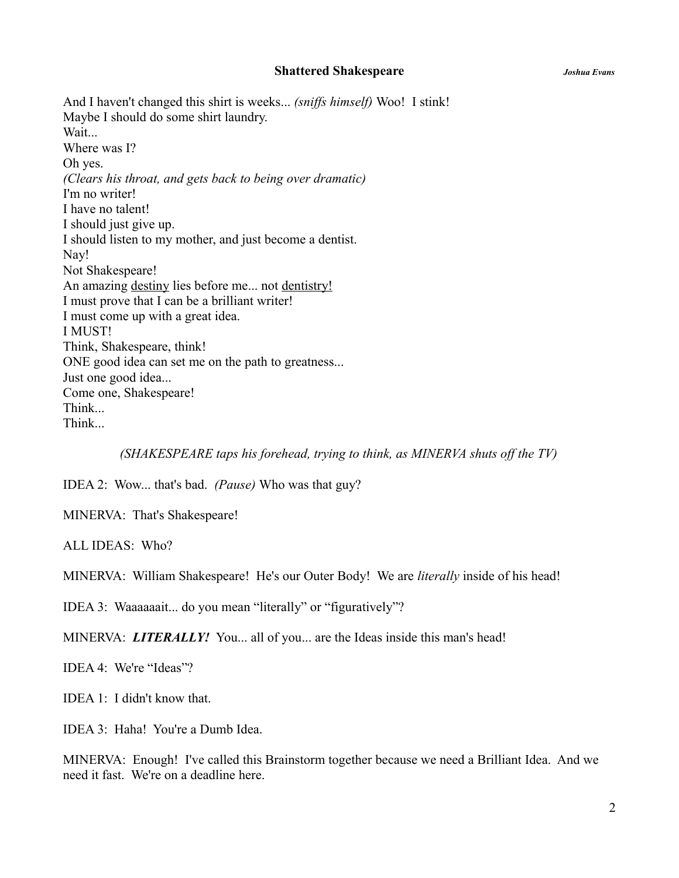And I haven't changed this shirt is weeks... *(sniffs himself)* Woo! I stink! Maybe I should do some shirt laundry. Wait... Where was I? Oh yes. *(Clears his throat, and gets back to being over dramatic)* I'm no writer! I have no talent! I should just give up. I should listen to my mother, and just become a dentist. Nay! Not Shakespeare! An amazing destiny lies before me... not dentistry! I must prove that I can be a brilliant writer! I must come up with a great idea. I MUST! Think, Shakespeare, think! ONE good idea can set me on the path to greatness... Just one good idea... Come one, Shakespeare! Think... Think...

*(SHAKESPEARE taps his forehead, trying to think, as MINERVA shuts off the TV)*

IDEA 2: Wow... that's bad. *(Pause)* Who was that guy?

MINERVA: That's Shakespeare!

ALL IDEAS: Who?

MINERVA: William Shakespeare! He's our Outer Body! We are *literally* inside of his head!

IDEA 3: Waaaaaait... do you mean "literally" or "figuratively"?

MINERVA: *LITERALLY!* You... all of you... are the Ideas inside this man's head!

IDEA 4: We're "Ideas"?

IDEA 1: I didn't know that.

IDEA 3: Haha! You're a Dumb Idea.

MINERVA: Enough! I've called this Brainstorm together because we need a Brilliant Idea. And we need it fast. We're on a deadline here.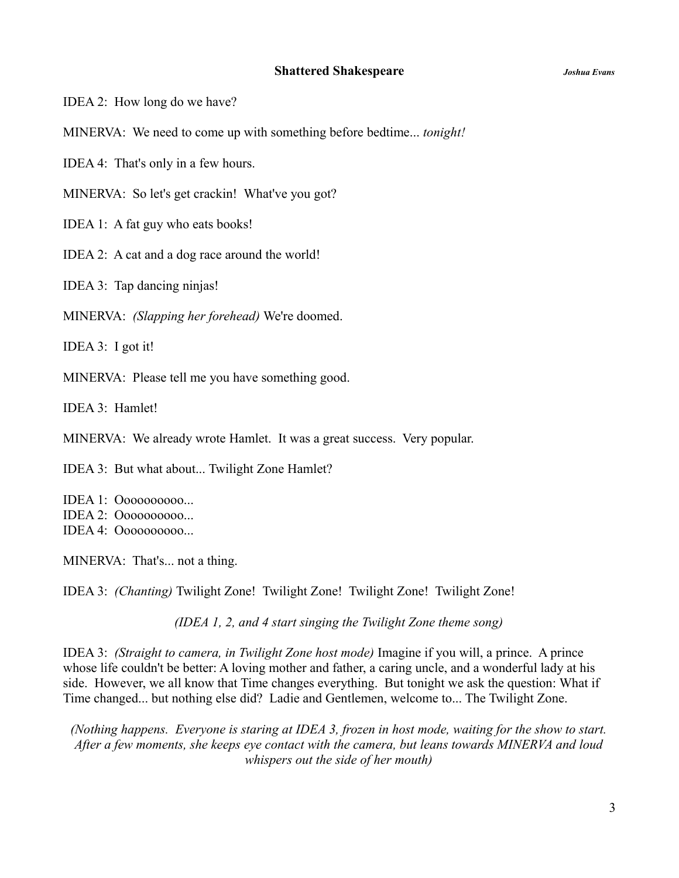IDEA 2: How long do we have?

MINERVA: We need to come up with something before bedtime... *tonight!*

IDEA 4: That's only in a few hours.

MINERVA: So let's get crackin! What've you got?

IDEA 1: A fat guy who eats books!

IDEA 2: A cat and a dog race around the world!

IDEA 3: Tap dancing ninjas!

MINERVA: *(Slapping her forehead)* We're doomed.

IDEA 3: I got it!

MINERVA: Please tell me you have something good.

IDEA 3: Hamlet!

MINERVA: We already wrote Hamlet. It was a great success. Very popular.

IDEA 3: But what about... Twilight Zone Hamlet?

IDEA 1: Oooooooooo... IDEA 2: Oooooooooo... IDEA 4: Oooooooooo...

MINERVA: That's... not a thing.

IDEA 3: *(Chanting)* Twilight Zone! Twilight Zone! Twilight Zone! Twilight Zone!

*(IDEA 1, 2, and 4 start singing the Twilight Zone theme song)*

IDEA 3: *(Straight to camera, in Twilight Zone host mode)* Imagine if you will, a prince. A prince whose life couldn't be better: A loving mother and father, a caring uncle, and a wonderful lady at his side. However, we all know that Time changes everything. But tonight we ask the question: What if Time changed... but nothing else did? Ladie and Gentlemen, welcome to... The Twilight Zone.

*(Nothing happens. Everyone is staring at IDEA 3, frozen in host mode, waiting for the show to start. After a few moments, she keeps eye contact with the camera, but leans towards MINERVA and loud whispers out the side of her mouth)*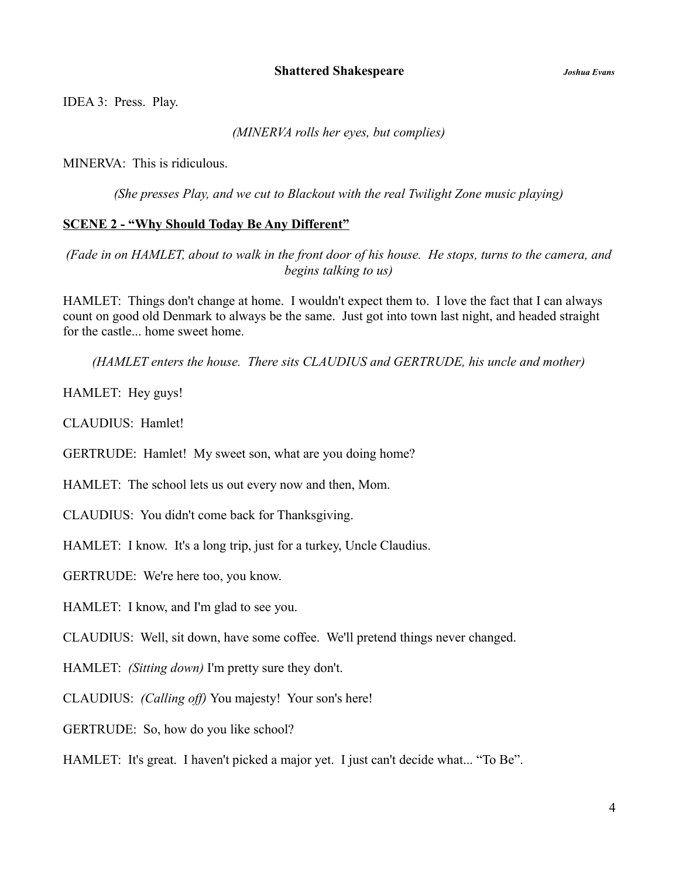IDEA 3: Press. Play.

*(MINERVA rolls her eyes, but complies)*

MINERVA: This is ridiculous.

*(She presses Play, and we cut to Blackout with the real Twilight Zone music playing)*

# **SCENE 2 - "Why Should Today Be Any Different"**

*(Fade in on HAMLET, about to walk in the front door of his house. He stops, turns to the camera, and begins talking to us)*

HAMLET: Things don't change at home. I wouldn't expect them to. I love the fact that I can always count on good old Denmark to always be the same. Just got into town last night, and headed straight for the castle... home sweet home.

*(HAMLET enters the house. There sits CLAUDIUS and GERTRUDE, his uncle and mother)*

HAMLET: Hey guys!

CLAUDIUS: Hamlet!

GERTRUDE: Hamlet! My sweet son, what are you doing home?

HAMLET: The school lets us out every now and then, Mom.

CLAUDIUS: You didn't come back for Thanksgiving.

HAMLET: I know. It's a long trip, just for a turkey, Uncle Claudius.

GERTRUDE: We're here too, you know.

HAMLET: I know, and I'm glad to see you.

CLAUDIUS: Well, sit down, have some coffee. We'll pretend things never changed.

HAMLET: *(Sitting down)* I'm pretty sure they don't.

CLAUDIUS: *(Calling off)* You majesty! Your son's here!

GERTRUDE: So, how do you like school?

HAMLET: It's great. I haven't picked a major yet. I just can't decide what... "To Be".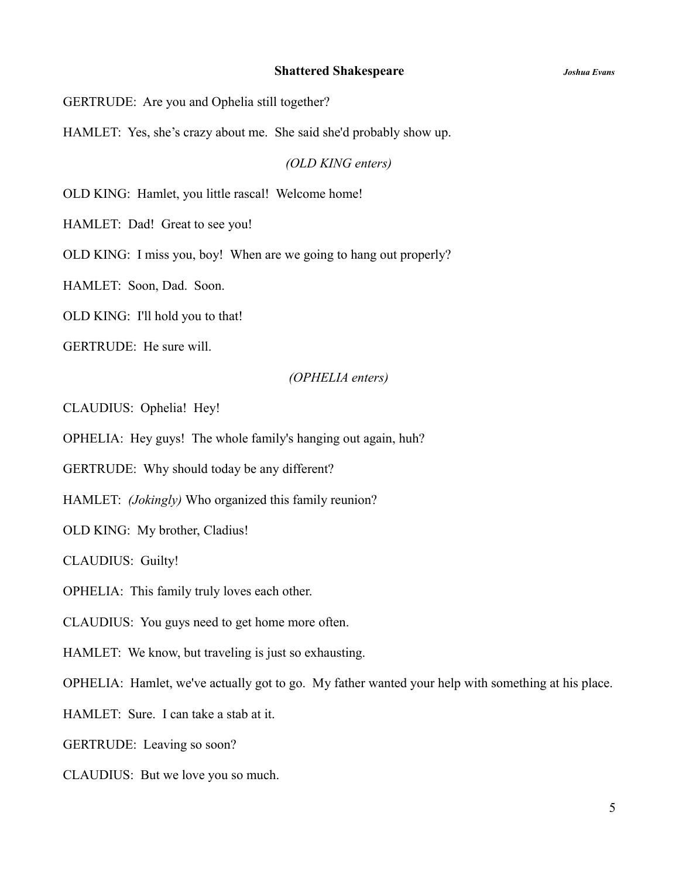GERTRUDE: Are you and Ophelia still together?

HAMLET: Yes, she's crazy about me. She said she'd probably show up.

*(OLD KING enters)*

OLD KING: Hamlet, you little rascal! Welcome home!

HAMLET: Dad! Great to see you!

OLD KING: I miss you, boy! When are we going to hang out properly?

HAMLET: Soon, Dad. Soon.

OLD KING: I'll hold you to that!

GERTRUDE: He sure will.

## *(OPHELIA enters)*

CLAUDIUS: Ophelia! Hey!

OPHELIA: Hey guys! The whole family's hanging out again, huh?

GERTRUDE: Why should today be any different?

HAMLET: *(Jokingly)* Who organized this family reunion?

OLD KING: My brother, Cladius!

CLAUDIUS: Guilty!

OPHELIA: This family truly loves each other.

CLAUDIUS: You guys need to get home more often.

HAMLET: We know, but traveling is just so exhausting.

OPHELIA: Hamlet, we've actually got to go. My father wanted your help with something at his place.

HAMLET: Sure. I can take a stab at it.

GERTRUDE: Leaving so soon?

CLAUDIUS: But we love you so much.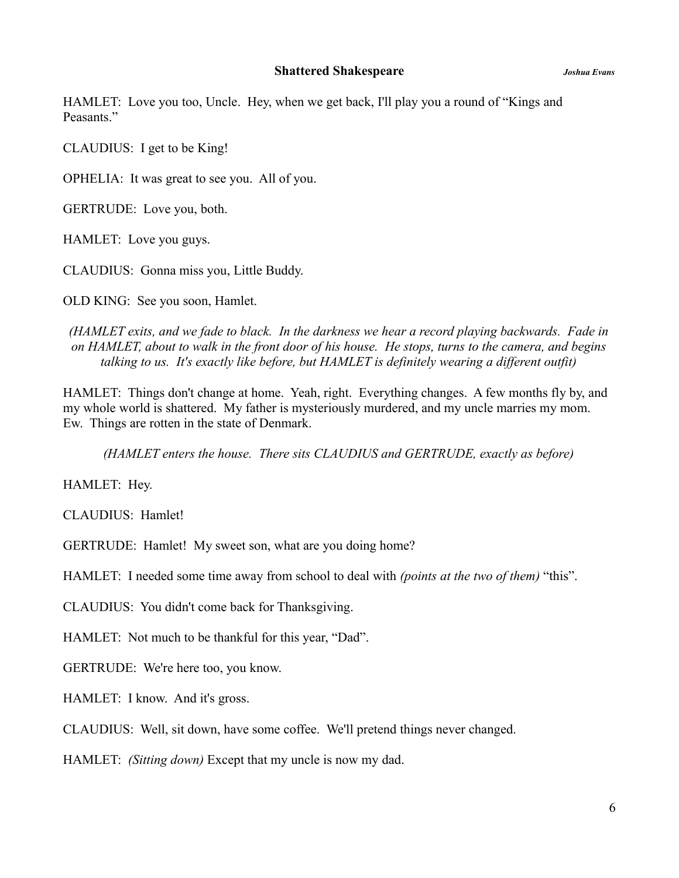HAMLET: Love you too, Uncle. Hey, when we get back, I'll play you a round of "Kings and Peasants."

CLAUDIUS: I get to be King!

OPHELIA: It was great to see you. All of you.

GERTRUDE: Love you, both.

HAMLET: Love you guys.

CLAUDIUS: Gonna miss you, Little Buddy.

OLD KING: See you soon, Hamlet.

*(HAMLET exits, and we fade to black. In the darkness we hear a record playing backwards. Fade in on HAMLET, about to walk in the front door of his house. He stops, turns to the camera, and begins talking to us. It's exactly like before, but HAMLET is definitely wearing a different outfit)*

HAMLET: Things don't change at home. Yeah, right. Everything changes. A few months fly by, and my whole world is shattered. My father is mysteriously murdered, and my uncle marries my mom. Ew. Things are rotten in the state of Denmark.

*(HAMLET enters the house. There sits CLAUDIUS and GERTRUDE, exactly as before)*

HAMLET: Hey.

CLAUDIUS: Hamlet!

GERTRUDE: Hamlet! My sweet son, what are you doing home?

HAMLET: I needed some time away from school to deal with *(points at the two of them)* "this".

CLAUDIUS: You didn't come back for Thanksgiving.

HAMLET: Not much to be thankful for this year, "Dad".

GERTRUDE: We're here too, you know.

HAMLET: I know. And it's gross.

CLAUDIUS: Well, sit down, have some coffee. We'll pretend things never changed.

HAMLET: *(Sitting down)* Except that my uncle is now my dad.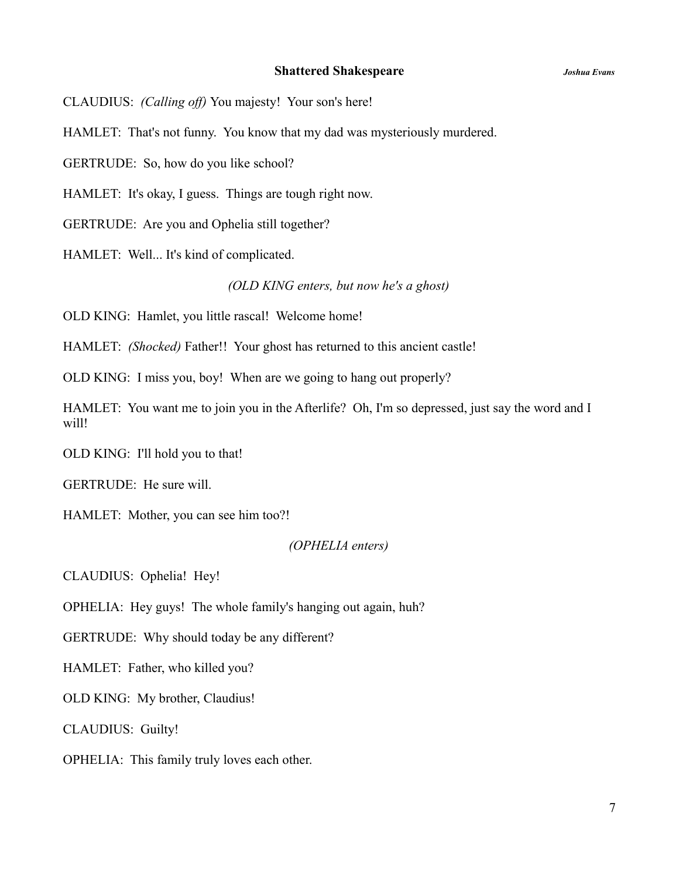CLAUDIUS: *(Calling off)* You majesty! Your son's here!

HAMLET: That's not funny. You know that my dad was mysteriously murdered.

GERTRUDE: So, how do you like school?

HAMLET: It's okay, I guess. Things are tough right now.

GERTRUDE: Are you and Ophelia still together?

HAMLET: Well... It's kind of complicated.

*(OLD KING enters, but now he's a ghost)*

OLD KING: Hamlet, you little rascal! Welcome home!

HAMLET: *(Shocked)* Father!! Your ghost has returned to this ancient castle!

OLD KING: I miss you, boy! When are we going to hang out properly?

HAMLET: You want me to join you in the Afterlife? Oh, I'm so depressed, just say the word and I will!

OLD KING: I'll hold you to that!

GERTRUDE: He sure will.

HAMLET: Mother, you can see him too?!

### *(OPHELIA enters)*

CLAUDIUS: Ophelia! Hey!

OPHELIA: Hey guys! The whole family's hanging out again, huh?

GERTRUDE: Why should today be any different?

HAMLET: Father, who killed you?

OLD KING: My brother, Claudius!

CLAUDIUS: Guilty!

OPHELIA: This family truly loves each other.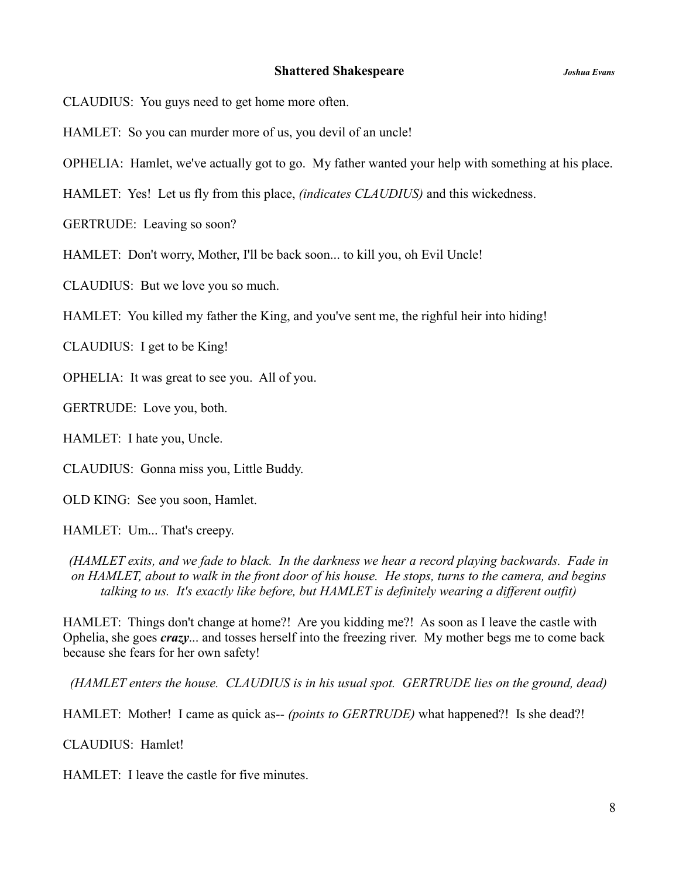CLAUDIUS: You guys need to get home more often.

HAMLET: So you can murder more of us, you devil of an uncle!

OPHELIA: Hamlet, we've actually got to go. My father wanted your help with something at his place.

HAMLET: Yes! Let us fly from this place, *(indicates CLAUDIUS)* and this wickedness.

GERTRUDE: Leaving so soon?

HAMLET: Don't worry, Mother, I'll be back soon... to kill you, oh Evil Uncle!

CLAUDIUS: But we love you so much.

HAMLET: You killed my father the King, and you've sent me, the righful heir into hiding!

CLAUDIUS: I get to be King!

OPHELIA: It was great to see you. All of you.

GERTRUDE: Love you, both.

HAMLET: I hate you, Uncle.

CLAUDIUS: Gonna miss you, Little Buddy.

OLD KING: See you soon, Hamlet.

HAMLET: Um... That's creepy.

*(HAMLET exits, and we fade to black. In the darkness we hear a record playing backwards. Fade in on HAMLET, about to walk in the front door of his house. He stops, turns to the camera, and begins talking to us. It's exactly like before, but HAMLET is definitely wearing a different outfit)*

HAMLET: Things don't change at home?! Are you kidding me?! As soon as I leave the castle with Ophelia, she goes *crazy*... and tosses herself into the freezing river. My mother begs me to come back because she fears for her own safety!

*(HAMLET enters the house. CLAUDIUS is in his usual spot. GERTRUDE lies on the ground, dead)*

HAMLET: Mother! I came as quick as-- *(points to GERTRUDE)* what happened?! Is she dead?!

CLAUDIUS: Hamlet!

HAMLET: I leave the castle for five minutes.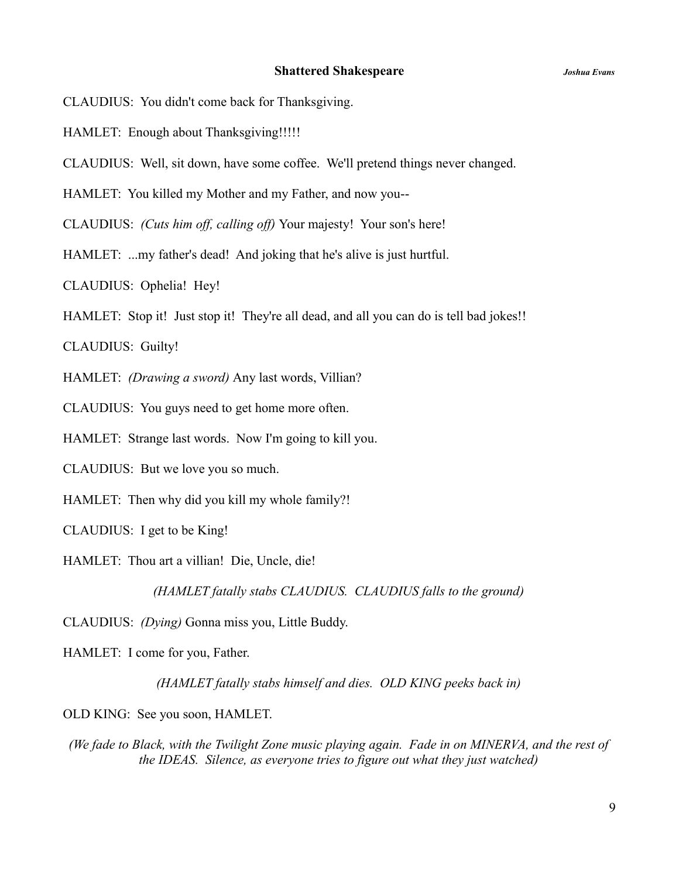- CLAUDIUS: You didn't come back for Thanksgiving.
- HAMLET: Enough about Thanksgiving!!!!!
- CLAUDIUS: Well, sit down, have some coffee. We'll pretend things never changed.
- HAMLET: You killed my Mother and my Father, and now you--

CLAUDIUS: *(Cuts him off, calling off)* Your majesty! Your son's here!

HAMLET: ...my father's dead! And joking that he's alive is just hurtful.

CLAUDIUS: Ophelia! Hey!

HAMLET: Stop it! Just stop it! They're all dead, and all you can do is tell bad jokes!!

CLAUDIUS: Guilty!

HAMLET: *(Drawing a sword)* Any last words, Villian?

CLAUDIUS: You guys need to get home more often.

HAMLET: Strange last words. Now I'm going to kill you.

CLAUDIUS: But we love you so much.

HAMLET: Then why did you kill my whole family?!

CLAUDIUS: I get to be King!

HAMLET: Thou art a villian! Die, Uncle, die!

*(HAMLET fatally stabs CLAUDIUS. CLAUDIUS falls to the ground)*

CLAUDIUS: *(Dying)* Gonna miss you, Little Buddy.

HAMLET: I come for you, Father.

*(HAMLET fatally stabs himself and dies. OLD KING peeks back in)*

OLD KING: See you soon, HAMLET.

*(We fade to Black, with the Twilight Zone music playing again. Fade in on MINERVA, and the rest of the IDEAS. Silence, as everyone tries to figure out what they just watched)*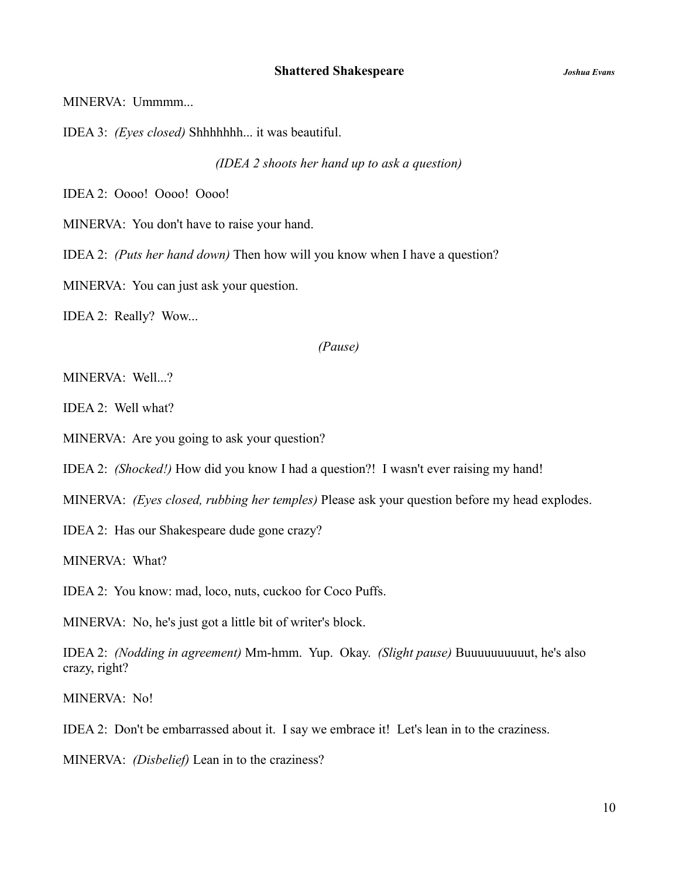MINERVA: Ummmm...

IDEA 3: *(Eyes closed)* Shhhhhhh... it was beautiful.

*(IDEA 2 shoots her hand up to ask a question)*

IDEA 2: Oooo! Oooo! Oooo!

MINERVA: You don't have to raise your hand.

IDEA 2: *(Puts her hand down)* Then how will you know when I have a question?

MINERVA: You can just ask your question.

IDEA 2: Really? Wow...

### *(Pause)*

MINERVA: Well...?

IDEA 2: Well what?

MINERVA: Are you going to ask your question?

IDEA 2: *(Shocked!)* How did you know I had a question?! I wasn't ever raising my hand!

MINERVA: *(Eyes closed, rubbing her temples)* Please ask your question before my head explodes.

IDEA 2: Has our Shakespeare dude gone crazy?

MINERVA: What?

IDEA 2: You know: mad, loco, nuts, cuckoo for Coco Puffs.

MINERVA: No, he's just got a little bit of writer's block.

IDEA 2: *(Nodding in agreement)* Mm-hmm. Yup. Okay. *(Slight pause)* Buuuuuuuuuut, he's also crazy, right?

MINERVA: No!

IDEA 2: Don't be embarrassed about it. I say we embrace it! Let's lean in to the craziness.

MINERVA: *(Disbelief)* Lean in to the craziness?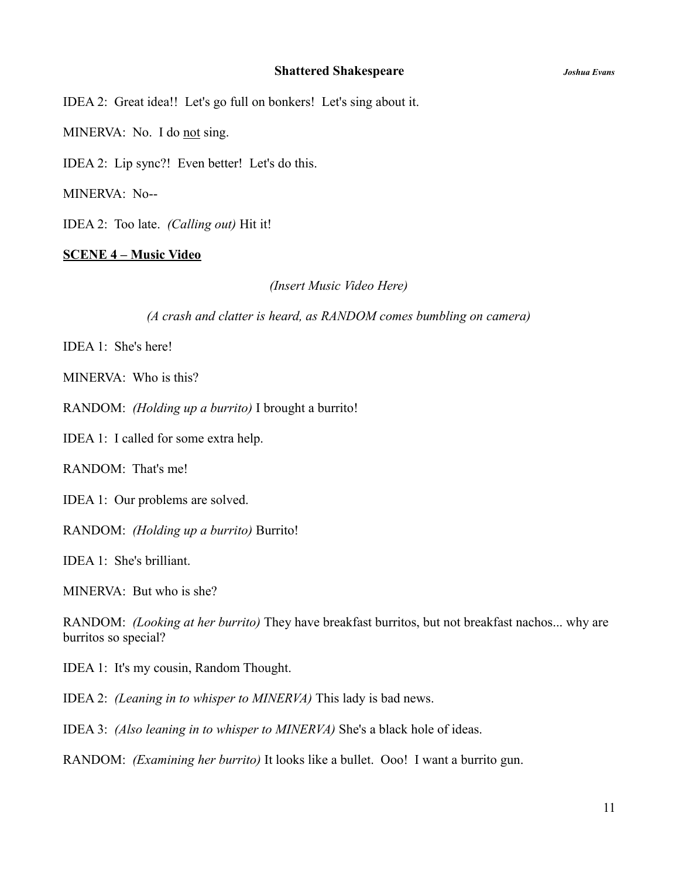IDEA 2: Great idea!! Let's go full on bonkers! Let's sing about it.

MINERVA: No. I do not sing.

IDEA 2: Lip sync?! Even better! Let's do this.

MINERVA: No--

IDEA 2: Too late. *(Calling out)* Hit it!

# **SCENE 4 – Music Video**

*(Insert Music Video Here)*

### *(A crash and clatter is heard, as RANDOM comes bumbling on camera)*

IDEA 1: She's here!

MINERVA: Who is this?

RANDOM: *(Holding up a burrito)* I brought a burrito!

IDEA 1: I called for some extra help.

RANDOM: That's me!

IDEA 1: Our problems are solved.

RANDOM: *(Holding up a burrito)* Burrito!

IDEA 1: She's brilliant.

MINERVA: But who is she?

RANDOM: *(Looking at her burrito)* They have breakfast burritos, but not breakfast nachos... why are burritos so special?

IDEA 1: It's my cousin, Random Thought.

IDEA 2: *(Leaning in to whisper to MINERVA)* This lady is bad news.

IDEA 3: *(Also leaning in to whisper to MINERVA)* She's a black hole of ideas.

RANDOM: *(Examining her burrito)* It looks like a bullet. Ooo! I want a burrito gun.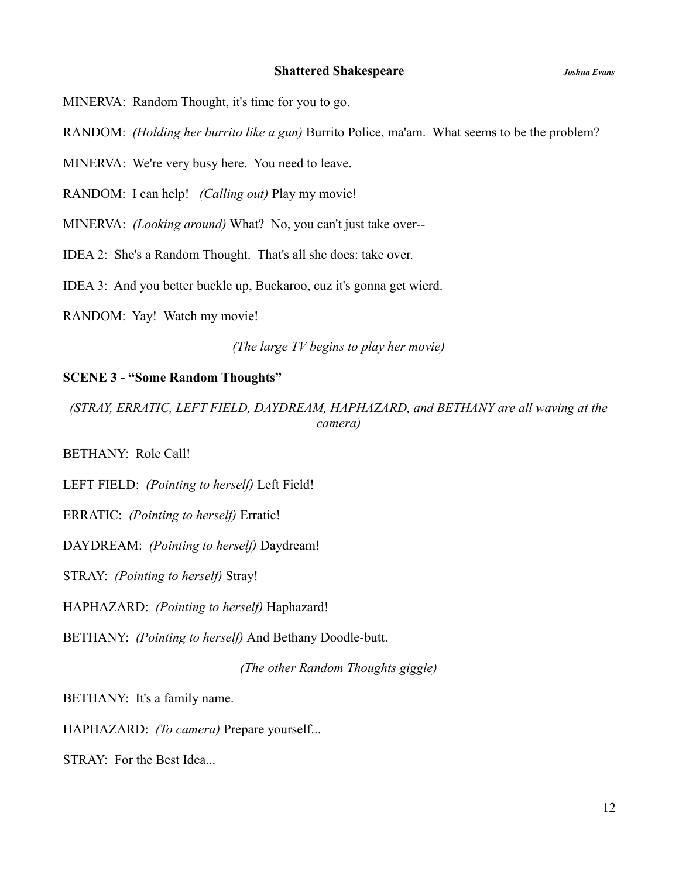MINERVA: Random Thought, it's time for you to go.

RANDOM: *(Holding her burrito like a gun)* Burrito Police, ma'am. What seems to be the problem?

MINERVA: We're very busy here. You need to leave.

RANDOM: I can help! *(Calling out)* Play my movie!

MINERVA: *(Looking around)* What? No, you can't just take over--

IDEA 2: She's a Random Thought. That's all she does: take over.

IDEA 3: And you better buckle up, Buckaroo, cuz it's gonna get wierd.

RANDOM: Yay! Watch my movie!

*(The large TV begins to play her movie)*

#### **SCENE 3 - "Some Random Thoughts"**

*(STRAY, ERRATIC, LEFT FIELD, DAYDREAM, HAPHAZARD, and BETHANY are all waving at the camera)*

BETHANY: Role Call!

LEFT FIELD: *(Pointing to herself)* Left Field!

ERRATIC: *(Pointing to herself)* Erratic!

DAYDREAM: *(Pointing to herself)* Daydream!

STRAY: *(Pointing to herself)* Stray!

HAPHAZARD: *(Pointing to herself)* Haphazard!

BETHANY: *(Pointing to herself)* And Bethany Doodle-butt.

*(The other Random Thoughts giggle)*

BETHANY: It's a family name.

HAPHAZARD: *(To camera)* Prepare yourself...

STRAY: For the Best Idea...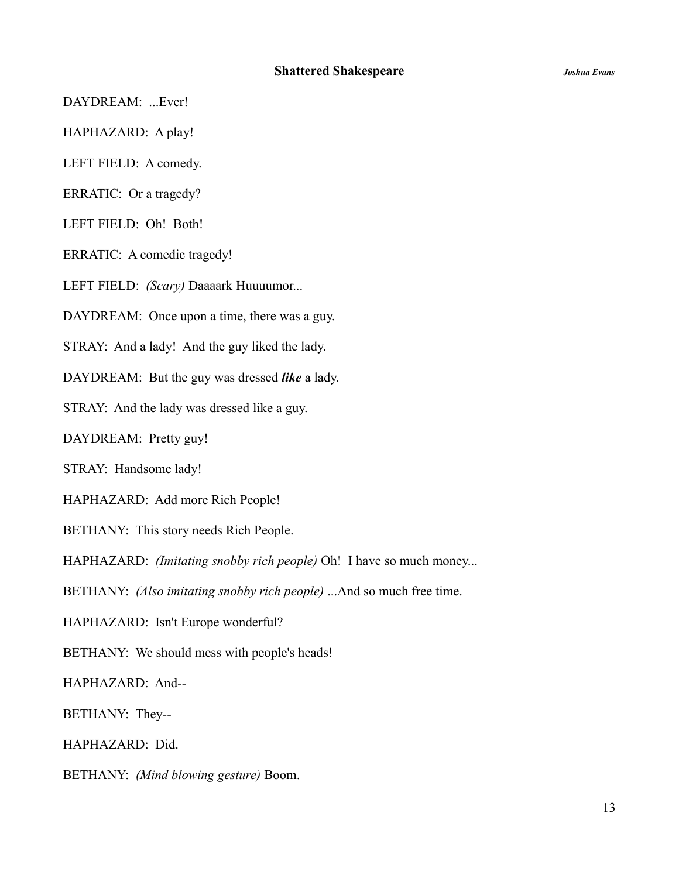DAYDREAM: ...Ever!

HAPHAZARD: A play!

LEFT FIELD: A comedy.

ERRATIC: Or a tragedy?

LEFT FIELD: Oh! Both!

ERRATIC: A comedic tragedy!

LEFT FIELD: *(Scary)* Daaaark Huuuumor...

DAYDREAM: Once upon a time, there was a guy.

STRAY: And a lady! And the guy liked the lady.

DAYDREAM: But the guy was dressed *like* a lady.

STRAY: And the lady was dressed like a guy.

DAYDREAM: Pretty guy!

STRAY: Handsome lady!

HAPHAZARD: Add more Rich People!

BETHANY: This story needs Rich People.

HAPHAZARD: *(Imitating snobby rich people)* Oh! I have so much money...

BETHANY: *(Also imitating snobby rich people)* ...And so much free time.

HAPHAZARD: Isn't Europe wonderful?

BETHANY: We should mess with people's heads!

HAPHAZARD: And--

BETHANY: They--

HAPHAZARD: Did.

BETHANY: *(Mind blowing gesture)* Boom.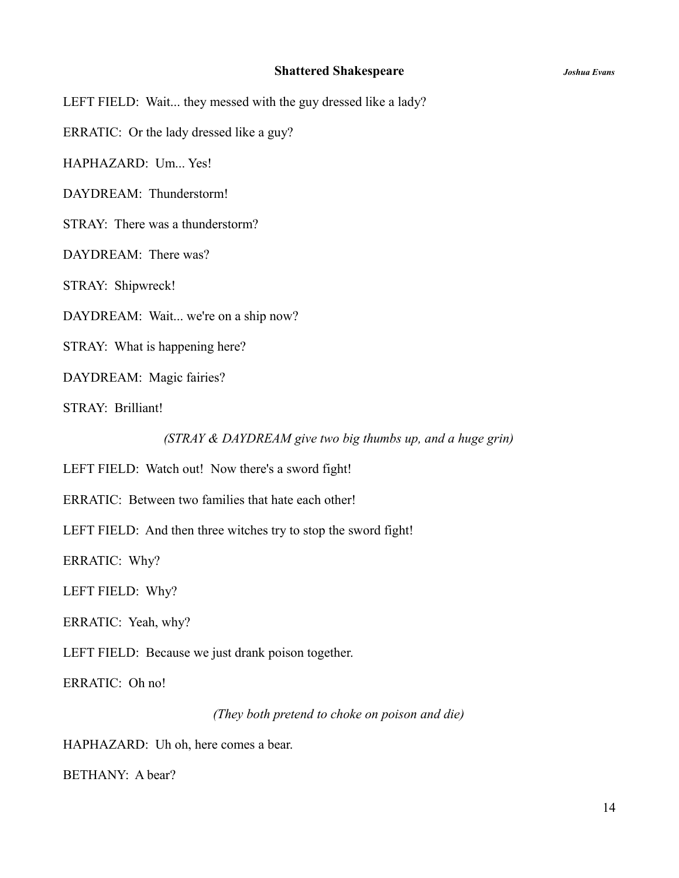LEFT FIELD: Wait... they messed with the guy dressed like a lady?

ERRATIC: Or the lady dressed like a guy?

HAPHAZARD: Um... Yes!

DAYDREAM: Thunderstorm!

STRAY: There was a thunderstorm?

DAYDREAM: There was?

STRAY: Shipwreck!

DAYDREAM: Wait... we're on a ship now?

STRAY: What is happening here?

DAYDREAM: Magic fairies?

STRAY: Brilliant!

*(STRAY & DAYDREAM give two big thumbs up, and a huge grin)*

LEFT FIELD: Watch out! Now there's a sword fight!

ERRATIC: Between two families that hate each other!

LEFT FIELD: And then three witches try to stop the sword fight!

ERRATIC: Why?

LEFT FIELD: Why?

ERRATIC: Yeah, why?

LEFT FIELD: Because we just drank poison together.

ERRATIC: Oh no!

*(They both pretend to choke on poison and die)*

HAPHAZARD: Uh oh, here comes a bear.

BETHANY: A bear?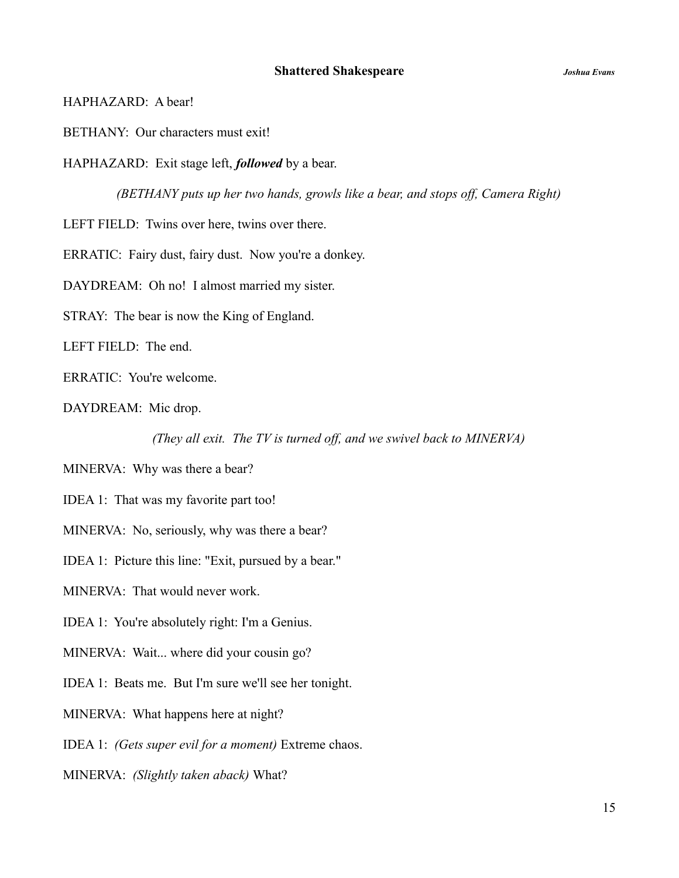HAPHAZARD: A bear!

BETHANY: Our characters must exit!

HAPHAZARD: Exit stage left, *followed* by a bear.

*(BETHANY puts up her two hands, growls like a bear, and stops off, Camera Right)*

LEFT FIELD: Twins over here, twins over there.

ERRATIC: Fairy dust, fairy dust. Now you're a donkey.

DAYDREAM: Oh no! I almost married my sister.

STRAY: The bear is now the King of England.

LEFT FIELD: The end.

ERRATIC: You're welcome.

DAYDREAM: Mic drop.

*(They all exit. The TV is turned off, and we swivel back to MINERVA)*

MINERVA: Why was there a bear?

IDEA 1: That was my favorite part too!

MINERVA: No, seriously, why was there a bear?

IDEA 1: Picture this line: "Exit, pursued by a bear."

MINERVA: That would never work.

IDEA 1: You're absolutely right: I'm a Genius.

MINERVA: Wait... where did your cousin go?

IDEA 1: Beats me. But I'm sure we'll see her tonight.

MINERVA: What happens here at night?

IDEA 1: *(Gets super evil for a moment)* Extreme chaos.

MINERVA: *(Slightly taken aback)* What?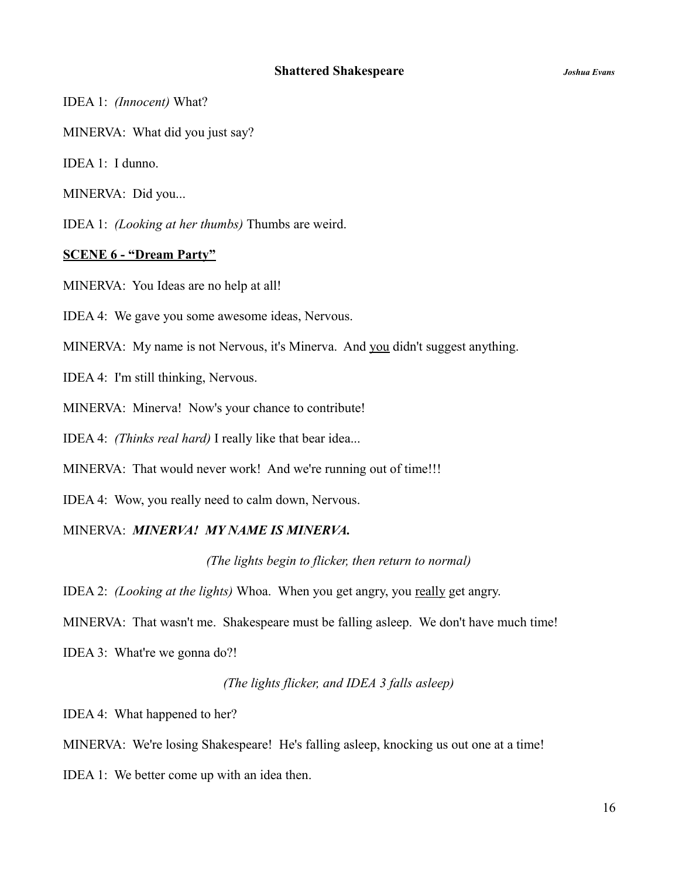IDEA 1: *(Innocent)* What?

MINERVA: What did you just say?

IDEA 1: I dunno.

MINERVA: Did you...

IDEA 1: *(Looking at her thumbs)* Thumbs are weird.

# **SCENE 6 - "Dream Party"**

MINERVA: You Ideas are no help at all!

IDEA 4: We gave you some awesome ideas, Nervous.

MINERVA: My name is not Nervous, it's Minerva. And you didn't suggest anything.

IDEA 4: I'm still thinking, Nervous.

MINERVA: Minerva! Now's your chance to contribute!

IDEA 4: *(Thinks real hard)* I really like that bear idea...

MINERVA: That would never work! And we're running out of time!!!

IDEA 4: Wow, you really need to calm down, Nervous.

# MINERVA: *MINERVA! MY NAME IS MINERVA.*

*(The lights begin to flicker, then return to normal)*

IDEA 2: *(Looking at the lights)* Whoa. When you get angry, you really get angry.

MINERVA: That wasn't me. Shakespeare must be falling asleep. We don't have much time!

IDEA 3: What're we gonna do?!

# *(The lights flicker, and IDEA 3 falls asleep)*

IDEA 4: What happened to her?

MINERVA: We're losing Shakespeare! He's falling asleep, knocking us out one at a time!

IDEA 1: We better come up with an idea then.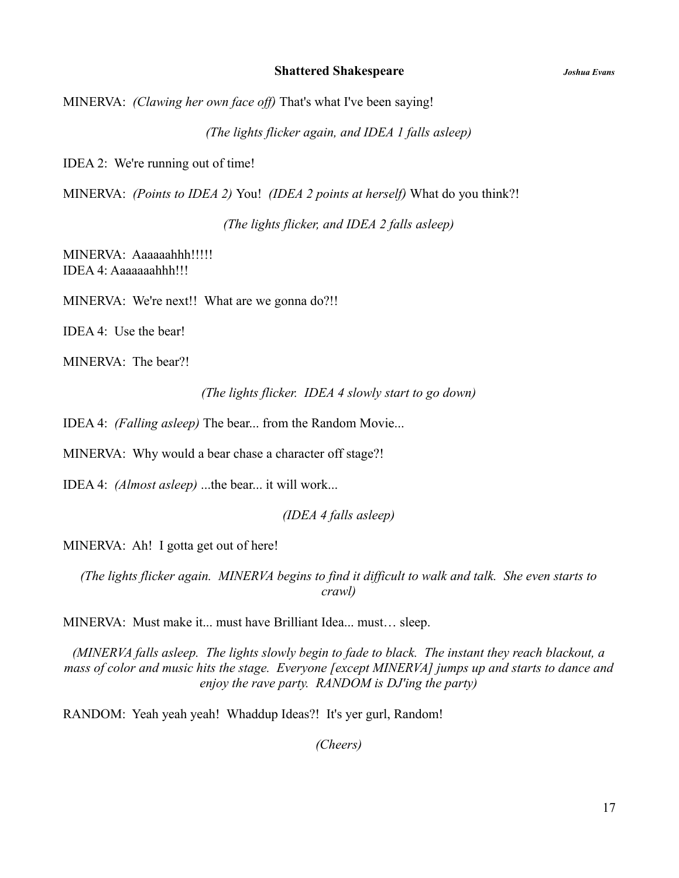MINERVA: *(Clawing her own face off)* That's what I've been saying!

*(The lights flicker again, and IDEA 1 falls asleep)*

IDEA 2: We're running out of time!

MINERVA: *(Points to IDEA 2)* You! *(IDEA 2 points at herself)* What do you think?!

*(The lights flicker, and IDEA 2 falls asleep)*

MINERVA: Aaaaaahhh!!!!! IDEA 4: Aaaaaaahhh!!!

MINERVA: We're next!! What are we gonna do?!!

IDEA 4: Use the bear!

MINERVA: The bear?!

*(The lights flicker. IDEA 4 slowly start to go down)*

IDEA 4: *(Falling asleep)* The bear... from the Random Movie...

MINERVA: Why would a bear chase a character off stage?!

IDEA 4: *(Almost asleep)* ...the bear... it will work...

*(IDEA 4 falls asleep)*

MINERVA: Ah! I gotta get out of here!

*(The lights flicker again. MINERVA begins to find it difficult to walk and talk. She even starts to crawl)*

MINERVA: Must make it... must have Brilliant Idea... must… sleep.

*(MINERVA falls asleep. The lights slowly begin to fade to black. The instant they reach blackout, a mass of color and music hits the stage. Everyone [except MINERVA] jumps up and starts to dance and enjoy the rave party. RANDOM is DJ'ing the party)*

RANDOM: Yeah yeah yeah! Whaddup Ideas?! It's yer gurl, Random!

*(Cheers)*